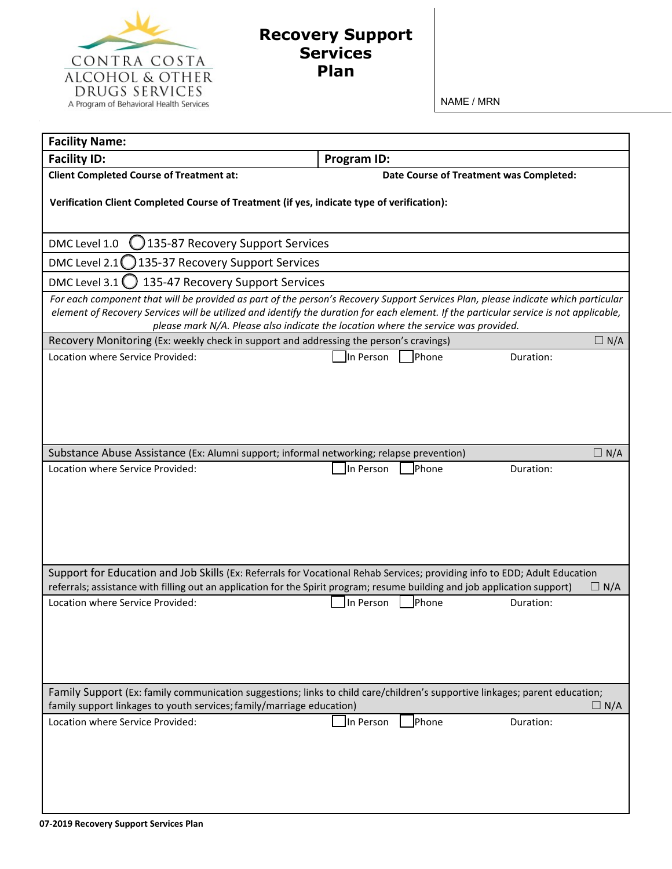

## **Recovery Support Services Plan**

NAME / MRN

| <b>Facility Name:</b>                                                                                                                                                                                                        |                                         |                  |  |
|------------------------------------------------------------------------------------------------------------------------------------------------------------------------------------------------------------------------------|-----------------------------------------|------------------|--|
| <b>Facility ID:</b>                                                                                                                                                                                                          | Program ID:                             |                  |  |
| <b>Client Completed Course of Treatment at:</b>                                                                                                                                                                              | Date Course of Treatment was Completed: |                  |  |
| Verification Client Completed Course of Treatment (if yes, indicate type of verification):                                                                                                                                   |                                         |                  |  |
|                                                                                                                                                                                                                              |                                         |                  |  |
|                                                                                                                                                                                                                              |                                         |                  |  |
| 135-87 Recovery Support Services<br>DMC Level 1.0                                                                                                                                                                            |                                         |                  |  |
| DMC Level 2.1 $\bigcap$<br>135-37 Recovery Support Services                                                                                                                                                                  |                                         |                  |  |
| DMC Level 3.1<br>135-47 Recovery Support Services                                                                                                                                                                            |                                         |                  |  |
| For each component that will be provided as part of the person's Recovery Support Services Plan, please indicate which particular                                                                                            |                                         |                  |  |
| element of Recovery Services will be utilized and identify the duration for each element. If the particular service is not applicable,<br>please mark N/A. Please also indicate the location where the service was provided. |                                         |                  |  |
| Recovery Monitoring (Ex: weekly check in support and addressing the person's cravings)<br>$\Box N/A$                                                                                                                         |                                         |                  |  |
| Location where Service Provided:                                                                                                                                                                                             | Phone<br>In Person                      | Duration:        |  |
|                                                                                                                                                                                                                              |                                         |                  |  |
|                                                                                                                                                                                                                              |                                         |                  |  |
|                                                                                                                                                                                                                              |                                         |                  |  |
|                                                                                                                                                                                                                              |                                         |                  |  |
|                                                                                                                                                                                                                              |                                         | $\Box$           |  |
| Substance Abuse Assistance (Ex: Alumni support; informal networking; relapse prevention)<br>Location where Service Provided:                                                                                                 | <b>Phone</b><br>In Person               | N/A<br>Duration: |  |
|                                                                                                                                                                                                                              |                                         |                  |  |
|                                                                                                                                                                                                                              |                                         |                  |  |
|                                                                                                                                                                                                                              |                                         |                  |  |
|                                                                                                                                                                                                                              |                                         |                  |  |
|                                                                                                                                                                                                                              |                                         |                  |  |
| Support for Education and Job Skills (Ex: Referrals for Vocational Rehab Services; providing info to EDD; Adult Education                                                                                                    |                                         |                  |  |
| referrals; assistance with filling out an application for the Spirit program; resume building and job application support)<br>$\sqsupset$ N/A                                                                                |                                         |                  |  |
| Location where Service Provided:                                                                                                                                                                                             | In Person<br>Phone                      | Duration:        |  |
|                                                                                                                                                                                                                              |                                         |                  |  |
|                                                                                                                                                                                                                              |                                         |                  |  |
|                                                                                                                                                                                                                              |                                         |                  |  |
|                                                                                                                                                                                                                              |                                         |                  |  |
| Family Support (Ex: family communication suggestions; links to child care/children's supportive linkages; parent education;                                                                                                  |                                         |                  |  |
| family support linkages to youth services; family/marriage education)<br>$\Box N/A$                                                                                                                                          |                                         |                  |  |
| Location where Service Provided:                                                                                                                                                                                             | Phone<br>In Person                      | Duration:        |  |
|                                                                                                                                                                                                                              |                                         |                  |  |
|                                                                                                                                                                                                                              |                                         |                  |  |
|                                                                                                                                                                                                                              |                                         |                  |  |
|                                                                                                                                                                                                                              |                                         |                  |  |
|                                                                                                                                                                                                                              |                                         |                  |  |